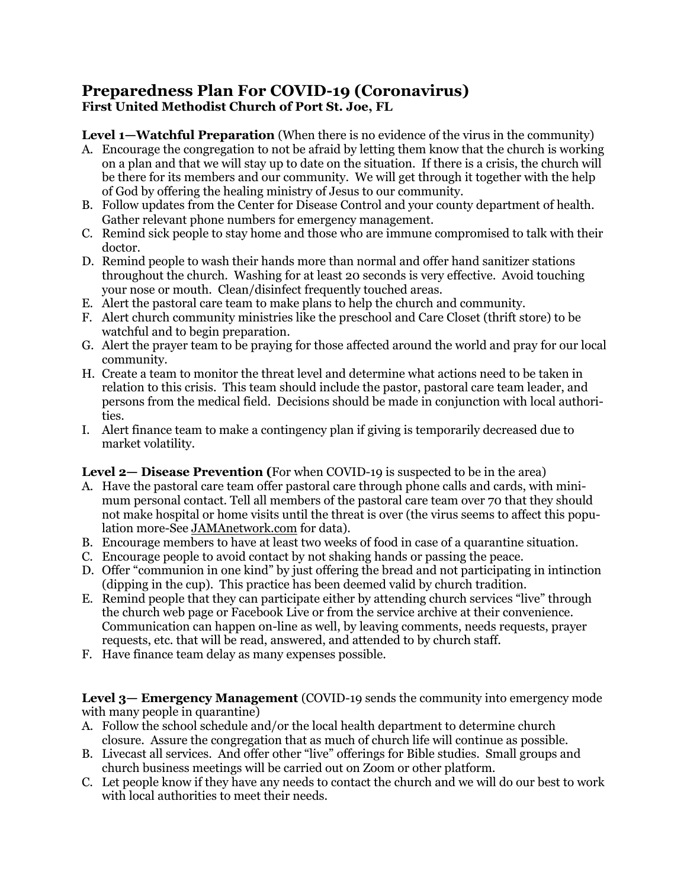## **Preparedness Plan For COVID-19 (Coronavirus) First United Methodist Church of Port St. Joe, FL**

**Level 1—Watchful Preparation** (When there is no evidence of the virus in the community)

- A. Encourage the congregation to not be afraid by letting them know that the church is working on a plan and that we will stay up to date on the situation. If there is a crisis, the church will be there for its members and our community. We will get through it together with the help of God by offering the healing ministry of Jesus to our community.
- B. Follow updates from the Center for Disease Control and your county department of health. Gather relevant phone numbers for emergency management.
- C. Remind sick people to stay home and those who are immune compromised to talk with their doctor.
- D. Remind people to wash their hands more than normal and offer hand sanitizer stations throughout the church. Washing for at least 20 seconds is very effective. Avoid touching your nose or mouth. Clean/disinfect frequently touched areas.
- E. Alert the pastoral care team to make plans to help the church and community.
- F. Alert church community ministries like the preschool and Care Closet (thrift store) to be watchful and to begin preparation.
- G. Alert the prayer team to be praying for those affected around the world and pray for our local community.
- H. Create a team to monitor the threat level and determine what actions need to be taken in relation to this crisis. This team should include the pastor, pastoral care team leader, and persons from the medical field. Decisions should be made in conjunction with local authorities.
- I. Alert finance team to make a contingency plan if giving is temporarily decreased due to market volatility.

## **Level 2— Disease Prevention (**For when COVID-19 is suspected to be in the area)

- A. Have the pastoral care team offer pastoral care through phone calls and cards, with minimum personal contact. Tell all members of the pastoral care team over 70 that they should not make hospital or home visits until the threat is over (the virus seems to affect this population more-See JAMAnetwork.com for data).
- B. Encourage members to have at least two weeks of food in case of a quarantine situation.
- C. Encourage people to avoid contact by not shaking hands or passing the peace.
- D. Offer "communion in one kind" by just offering the bread and not participating in intinction (dipping in the cup). This practice has been deemed valid by church tradition.
- E. Remind people that they can participate either by attending church services "live" through the church web page or Facebook Live or from the service archive at their convenience. Communication can happen on-line as well, by leaving comments, needs requests, prayer requests, etc. that will be read, answered, and attended to by church staff.
- F. Have finance team delay as many expenses possible.

**Level 3— Emergency Management** (COVID-19 sends the community into emergency mode with many people in quarantine)

- A. Follow the school schedule and/or the local health department to determine church closure. Assure the congregation that as much of church life will continue as possible.
- B. Livecast all services. And offer other "live" offerings for Bible studies. Small groups and church business meetings will be carried out on Zoom or other platform.
- C. Let people know if they have any needs to contact the church and we will do our best to work with local authorities to meet their needs.